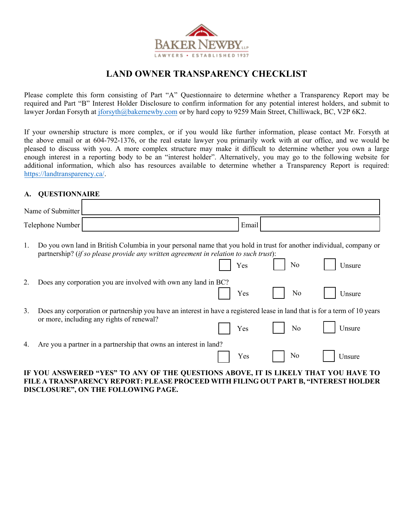

## **LAND OWNER TRANSPARENCY CHECKLIST**

Please complete this form consisting of Part "A" Questionnaire to determine whether a Transparency Report may be required and Part "B" Interest Holder Disclosure to confirm information for any potential interest holders, and submit to lawyer Jordan Forsyth at jforsyth[@bakernewby.com](mailto:mjavdan@bakernewby.com) or by hard copy to 9259 Main Street, Chilliwack, BC, V2P 6K2.

If your ownership structure is more complex, or if you would like further information, please contact Mr. Forsyth at the above email or at 604-792-1376, or the real estate lawyer you primarily work with at our office, and we would be pleased to discuss with you. A more complex structure may make it difficult to determine whether you own a large enough interest in a reporting body to be an "interest holder". Alternatively, you may go to the following website for additional information, which also has resources available to determine whether a Transparency Report is required: [https://landtransparency.ca/.](https://landtransparency.ca/)

## **A. QUESTIONNAIRE**

|    | Name of Submitter                         |                                                                                                                                                                                                             |       |    |        |
|----|-------------------------------------------|-------------------------------------------------------------------------------------------------------------------------------------------------------------------------------------------------------------|-------|----|--------|
|    | Telephone Number                          |                                                                                                                                                                                                             | Email |    |        |
| 1. |                                           | Do you own land in British Columbia in your personal name that you hold in trust for another individual, company or<br>partnership? (if so please provide any written agreement in relation to such trust): | Yes   | No | Unsure |
| 2. |                                           | Does any corporation you are involved with own any land in BC?                                                                                                                                              | Yes   | No | Unsure |
| 3. | or more, including any rights of renewal? | Does any corporation or partnership you have an interest in have a registered lease in land that is for a term of 10 years                                                                                  | Yes   | No | Unsure |
| 4. |                                           | Are you a partner in a partnership that owns an interest in land?                                                                                                                                           | Yes   | No | Unsure |
|    | IE VAIL                                   | NGWEDED «VEG» TO ANV OF THE OHEGTIONS                                                                                                                                                                       |       |    |        |

**IF YOU ANSWERED "YES" TO ANY OF THE QUESTIONS ABOVE, IT IS LIKELY THAT YOU HAVE TO FILE A TRANSPARENCY REPORT: PLEASE PROCEED WITH FILING OUT PART B, "INTEREST HOLDER DISCLOSURE", ON THE FOLLOWING PAGE.**